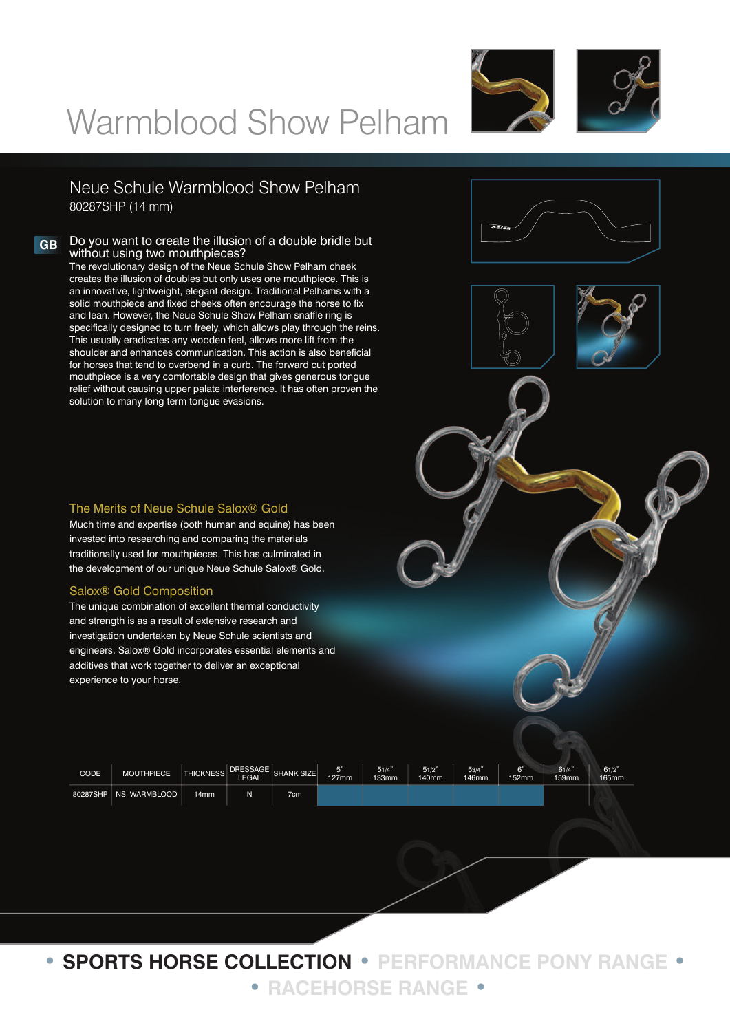



Neue Schule Warmblood Show Pelham 80287SHP (14 mm)

# **GB** Do you want to create the illusion of a double bridle but without using two mouthpieces?

The revolutionary design of the Neue Schule Show Pelham cheek creates the illusion of doubles but only uses one mouthpiece. This is an innovative, lightweight, elegant design. Traditional Pelhams with a solid mouthpiece and fixed cheeks often encourage the horse to fix and lean. However, the Neue Schule Show Pelham snaffle ring is specifically designed to turn freely, which allows play through the reins. This usually eradicates any wooden feel, allows more lift from the shoulder and enhances communication. This action is also beneficial for horses that tend to overbend in a curb. The forward cut ported mouthpiece is a very comfortable design that gives generous tongue relief without causing upper palate interference. It has often proven the solution to many long term tongue evasions.



Much time and expertise (both human and equine) has been invested into researching and comparing the materials traditionally used for mouthpieces. This has culminated in the development of our unique Neue Schule Salox® Gold.

## Salox® Gold Composition

The unique combination of excellent thermal conductivity and strength is as a result of extensive research and investigation undertaken by Neue Schule scientists and engineers. Salox® Gold incorporates essential elements and additives that work together to deliver an exceptional experience to your horse.

| CODE | MOUTHPIECE              | <b>THICKNESS</b> | DRESSAGE  <br><b>LEGAL</b> | <b>SHANK SIZE</b> | E"<br>127mm | 51/4'<br>133mm | 51/2"<br>140mm | 53/4"<br>146mm | $\sim$<br>152mm | 61/4<br>159mm | 61/2"<br>165mm |
|------|-------------------------|------------------|----------------------------|-------------------|-------------|----------------|----------------|----------------|-----------------|---------------|----------------|
|      | 80287SHP   NS WARMBLOOD | 14mm             |                            | 7cm               |             |                |                |                |                 |               |                |

**• SPORTS HORSE COLLECTION • PERFORMANCE PONY RANGE • • RACEHORSE RANGE •**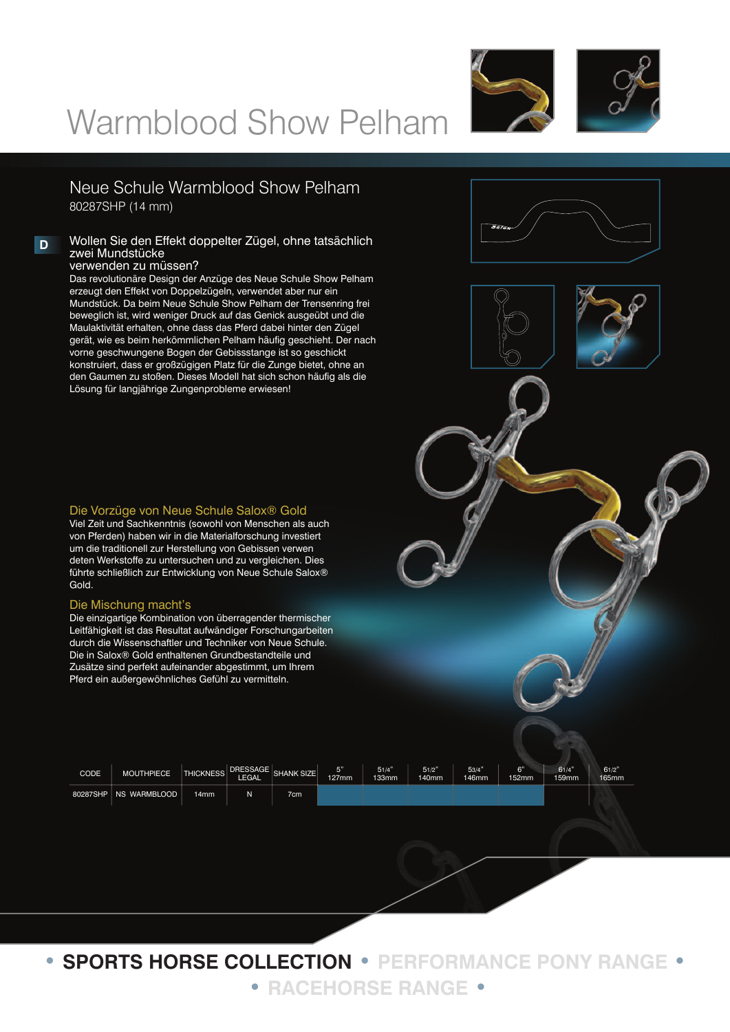



Neue Schule Warmblood Show Pelham 80287SHP (14 mm)

#### **D** Wollen Sie den Effekt doppelter Zügel, ohne tatsächlich zwei Mundstücke verwenden zu müssen?

Das revolutionäre Design der Anzüge des Neue Schule Show Pelham erzeugt den Effekt von Doppelzügeln, verwendet aber nur ein Mundstück. Da beim Neue Schule Show Pelham der Trensenring frei beweglich ist, wird weniger Druck auf das Genick ausgeübt und die Maulaktivität erhalten, ohne dass das Pferd dabei hinter den Zügel gerät, wie es beim herkömmlichen Pelham häufig geschieht. Der nach vorne geschwungene Bogen der Gebissstange ist so geschickt konstruiert, dass er großzügigen Platz für die Zunge bietet, ohne an den Gaumen zu stoßen. Dieses Modell hat sich schon häufig als die Lösung für langjährige Zungenprobleme erwiesen!



Viel Zeit und Sachkenntnis (sowohl von Menschen als auch von Pferden) haben wir in die Materialforschung investiert um die traditionell zur Herstellung von Gebissen verwen deten Werkstoffe zu untersuchen und zu vergleichen. Dies führte schließlich zur Entwicklung von Neue Schule Salox® Gold.

#### Die Mischung macht's

Die einzigartige Kombination von überragender thermischer Leitfähigkeit ist das Resultat aufwändiger Forschungarbeiten durch die Wissenschaftler und Techniker von Neue Schule. Die in Salox® Gold enthaltenen Grundbestandteile und Zusätze sind perfekt aufeinander abgestimmt, um Ihrem Pferd ein außergewöhnliches Gefühl zu vermitteln.

| CODE     | <b>MOUTHPIECE</b> | <b>THICKNESS</b> | <b>LEGAL</b> | DRESSAGE SHANK SIZE | 127mm | 51/4'<br>133mm | 51/2"<br>140mm | 53/4'<br>146mm | $\sim$<br>$-52$ mm | 61/4"<br>159mm | 61/2"<br>165mm |
|----------|-------------------|------------------|--------------|---------------------|-------|----------------|----------------|----------------|--------------------|----------------|----------------|
| 80287SHP | NS WARMBLOOD      | 14 <sub>mm</sub> |              | 7cm.                |       |                |                |                |                    |                |                |

**• SPORTS HORSE COLLECTION • PERFORMANCE PONY RANGE • • RACEHORSE RANGE •**